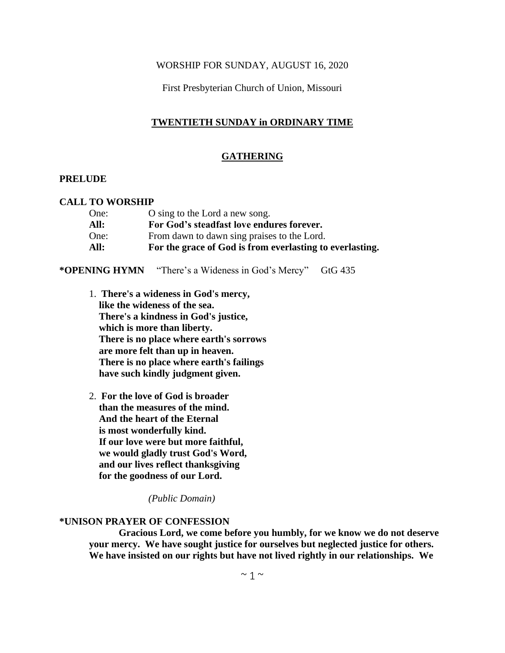### WORSHIP FOR SUNDAY, AUGUST 16, 2020

First Presbyterian Church of Union, Missouri

# **TWENTIETH SUNDAY in ORDINARY TIME**

### **GATHERING**

### **PRELUDE**

### **CALL TO WORSHIP**

| One: | O sing to the Lord a new song.                           |
|------|----------------------------------------------------------|
| All: | For God's steadfast love endures forever.                |
| One: | From dawn to dawn sing praises to the Lord.              |
| All: | For the grace of God is from everlasting to everlasting. |

### **\*OPENING HYMN** "There's a Wideness in God's Mercy" GtG 435

- 1. **There's a wideness in God's mercy, like the wideness of the sea. There's a kindness in God's justice, which is more than liberty. There is no place where earth's sorrows are more felt than up in heaven. There is no place where earth's failings have such kindly judgment given.**
- 2. **For the love of God is broader than the measures of the mind. And the heart of the Eternal is most wonderfully kind. If our love were but more faithful, we would gladly trust God's Word, and our lives reflect thanksgiving for the goodness of our Lord.**

*(Public Domain)*

#### **\*UNISON PRAYER OF CONFESSION**

**Gracious Lord, we come before you humbly, for we know we do not deserve your mercy. We have sought justice for ourselves but neglected justice for others. We have insisted on our rights but have not lived rightly in our relationships. We**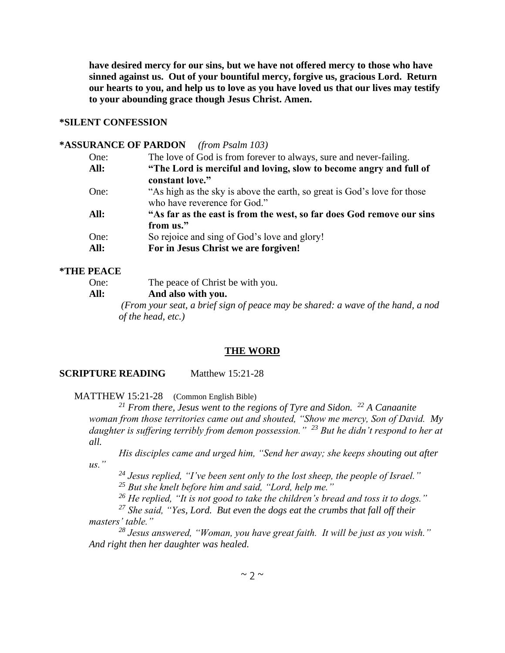**have desired mercy for our sins, but we have not offered mercy to those who have sinned against us. Out of your bountiful mercy, forgive us, gracious Lord. Return our hearts to you, and help us to love as you have loved us that our lives may testify to your abounding grace though Jesus Christ. Amen.**

# **\*SILENT CONFESSION**

# **\*ASSURANCE OF PARDON** *(from Psalm 103)*

| The love of God is from forever to always, sure and never-failing.       |
|--------------------------------------------------------------------------|
| "The Lord is merciful and loving, slow to become angry and full of       |
| constant love."                                                          |
| "As high as the sky is above the earth, so great is God's love for those |
| who have reverence for God."                                             |
| "As far as the east is from the west, so far does God remove our sins    |
| from us."                                                                |
| So rejoice and sing of God's love and glory!                             |
| For in Jesus Christ we are forgiven!                                     |
|                                                                          |

### **\*THE PEACE**

| One: | The peace of Christ be with you.                                                |  |  |
|------|---------------------------------------------------------------------------------|--|--|
| All: | And also with you.                                                              |  |  |
|      | (From your seat, a brief sign of peace may be shared: a wave of the hand, a nod |  |  |
|      | of the head, etc.)                                                              |  |  |

#### **THE WORD**

### **SCRIPTURE READING** Matthew 15:21-28

MATTHEW 15:21-28 (Common English Bible)

*<sup>21</sup> From there, Jesus went to the regions of Tyre and Sidon. <sup>22</sup> A Canaanite woman from those territories came out and shouted, "Show me mercy, Son of David. My daughter is suffering terribly from demon possession." <sup>23</sup> But he didn't respond to her at all.*

*His disciples came and urged him, "Send her away; she keeps shouting out after us."*

*<sup>24</sup> Jesus replied, "I've been sent only to the lost sheep, the people of Israel." <sup>25</sup> But she knelt before him and said, "Lord, help me."*

*<sup>26</sup> He replied, "It is not good to take the children's bread and toss it to dogs."*

*<sup>27</sup> She said, "Yes, Lord. But even the dogs eat the crumbs that fall off their masters' table."*

*<sup>28</sup> Jesus answered, "Woman, you have great faith. It will be just as you wish." And right then her daughter was healed.*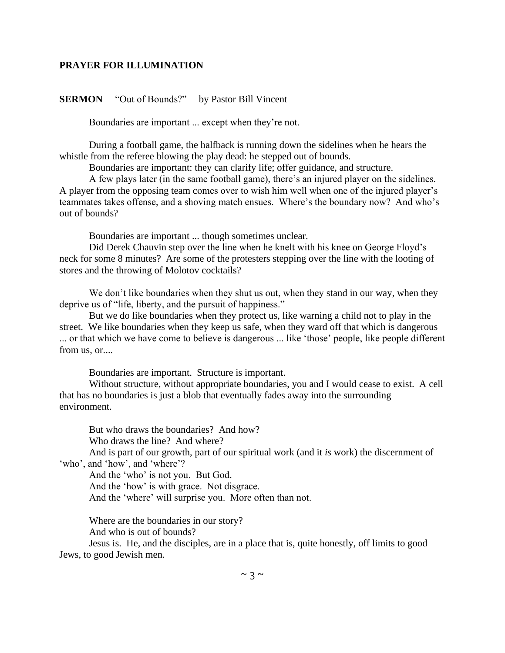### **PRAYER FOR ILLUMINATION**

### **SERMON** "Out of Bounds?" by Pastor Bill Vincent

Boundaries are important ... except when they're not.

During a football game, the halfback is running down the sidelines when he hears the whistle from the referee blowing the play dead: he stepped out of bounds.

Boundaries are important: they can clarify life; offer guidance, and structure.

A few plays later (in the same football game), there's an injured player on the sidelines. A player from the opposing team comes over to wish him well when one of the injured player's teammates takes offense, and a shoving match ensues. Where's the boundary now? And who's out of bounds?

Boundaries are important ... though sometimes unclear.

Did Derek Chauvin step over the line when he knelt with his knee on George Floyd's neck for some 8 minutes? Are some of the protesters stepping over the line with the looting of stores and the throwing of Molotov cocktails?

We don't like boundaries when they shut us out, when they stand in our way, when they deprive us of "life, liberty, and the pursuit of happiness."

But we do like boundaries when they protect us, like warning a child not to play in the street. We like boundaries when they keep us safe, when they ward off that which is dangerous ... or that which we have come to believe is dangerous ... like 'those' people, like people different from us, or....

Boundaries are important. Structure is important.

Without structure, without appropriate boundaries, you and I would cease to exist. A cell that has no boundaries is just a blob that eventually fades away into the surrounding environment.

But who draws the boundaries? And how? Who draws the line? And where?

And is part of our growth, part of our spiritual work (and it *is* work) the discernment of 'who', and 'how', and 'where'?

And the 'who' is not you. But God.

And the 'how' is with grace. Not disgrace.

And the 'where' will surprise you. More often than not.

Where are the boundaries in our story?

And who is out of bounds?

Jesus is. He, and the disciples, are in a place that is, quite honestly, off limits to good Jews, to good Jewish men.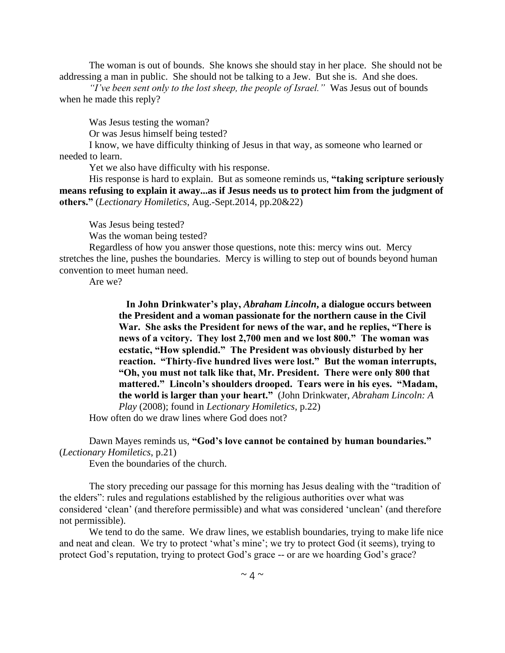The woman is out of bounds. She knows she should stay in her place. She should not be addressing a man in public. She should not be talking to a Jew. But she is. And she does.

*"I've been sent only to the lost sheep, the people of Israel."* Was Jesus out of bounds when he made this reply?

Was Jesus testing the woman?

Or was Jesus himself being tested?

I know, we have difficulty thinking of Jesus in that way, as someone who learned or needed to learn.

Yet we also have difficulty with his response.

His response is hard to explain. But as someone reminds us, **"taking scripture seriously means refusing to explain it away...as if Jesus needs us to protect him from the judgment of others."** (*Lectionary Homiletics*, Aug.-Sept.2014, pp.20&22)

Was Jesus being tested?

Was the woman being tested?

Regardless of how you answer those questions, note this: mercy wins out. Mercy stretches the line, pushes the boundaries. Mercy is willing to step out of bounds beyond human convention to meet human need.

Are we?

 **In John Drinkwater's play,** *Abraham Lincoln***, a dialogue occurs between the President and a woman passionate for the northern cause in the Civil War. She asks the President for news of the war, and he replies, "There is news of a vcitory. They lost 2,700 men and we lost 800." The woman was ecstatic, "How splendid." The President was obviously disturbed by her reaction. "Thirty-five hundred lives were lost." But the woman interrupts, "Oh, you must not talk like that, Mr. President. There were only 800 that mattered." Lincoln's shoulders drooped. Tears were in his eyes. "Madam, the world is larger than your heart."** (John Drinkwater, *Abraham Lincoln: A Play* (2008); found in *Lectionary Homiletics*, p.22)

How often do we draw lines where God does not?

# Dawn Mayes reminds us, **"God's love cannot be contained by human boundaries."** (*Lectionary Homiletics*, p.21)

Even the boundaries of the church.

The story preceding our passage for this morning has Jesus dealing with the "tradition of the elders": rules and regulations established by the religious authorities over what was considered 'clean' (and therefore permissible) and what was considered 'unclean' (and therefore not permissible).

We tend to do the same. We draw lines, we establish boundaries, trying to make life nice and neat and clean. We try to protect 'what's mine'; we try to protect God (it seems), trying to protect God's reputation, trying to protect God's grace -- or are we hoarding God's grace?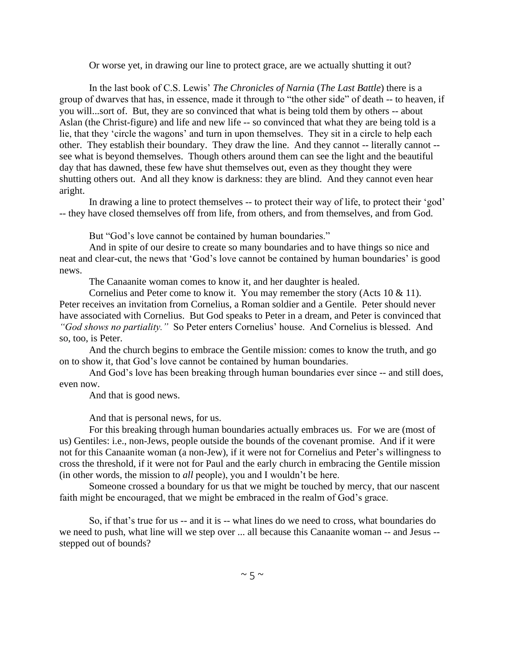Or worse yet, in drawing our line to protect grace, are we actually shutting it out?

In the last book of C.S. Lewis' *The Chronicles of Narnia* (*The Last Battle*) there is a group of dwarves that has, in essence, made it through to "the other side" of death -- to heaven, if you will...sort of. But, they are so convinced that what is being told them by others -- about Aslan (the Christ-figure) and life and new life -- so convinced that what they are being told is a lie, that they 'circle the wagons' and turn in upon themselves. They sit in a circle to help each other. They establish their boundary. They draw the line. And they cannot -- literally cannot - see what is beyond themselves. Though others around them can see the light and the beautiful day that has dawned, these few have shut themselves out, even as they thought they were shutting others out. And all they know is darkness: they are blind. And they cannot even hear aright.

In drawing a line to protect themselves -- to protect their way of life, to protect their 'god' -- they have closed themselves off from life, from others, and from themselves, and from God.

But "God's love cannot be contained by human boundaries."

And in spite of our desire to create so many boundaries and to have things so nice and neat and clear-cut, the news that 'God's love cannot be contained by human boundaries' is good news.

The Canaanite woman comes to know it, and her daughter is healed.

Cornelius and Peter come to know it. You may remember the story (Acts 10 & 11). Peter receives an invitation from Cornelius, a Roman soldier and a Gentile. Peter should never have associated with Cornelius. But God speaks to Peter in a dream, and Peter is convinced that *"God shows no partiality."* So Peter enters Cornelius' house. And Cornelius is blessed. And so, too, is Peter.

And the church begins to embrace the Gentile mission: comes to know the truth, and go on to show it, that God's love cannot be contained by human boundaries.

And God's love has been breaking through human boundaries ever since -- and still does, even now.

And that is good news.

And that is personal news, for us.

For this breaking through human boundaries actually embraces us. For we are (most of us) Gentiles: i.e., non-Jews, people outside the bounds of the covenant promise. And if it were not for this Canaanite woman (a non-Jew), if it were not for Cornelius and Peter's willingness to cross the threshold, if it were not for Paul and the early church in embracing the Gentile mission (in other words, the mission to *all* people), you and I wouldn't be here.

Someone crossed a boundary for us that we might be touched by mercy, that our nascent faith might be encouraged, that we might be embraced in the realm of God's grace.

So, if that's true for us -- and it is -- what lines do we need to cross, what boundaries do we need to push, what line will we step over ... all because this Canaanite woman -- and Jesus - stepped out of bounds?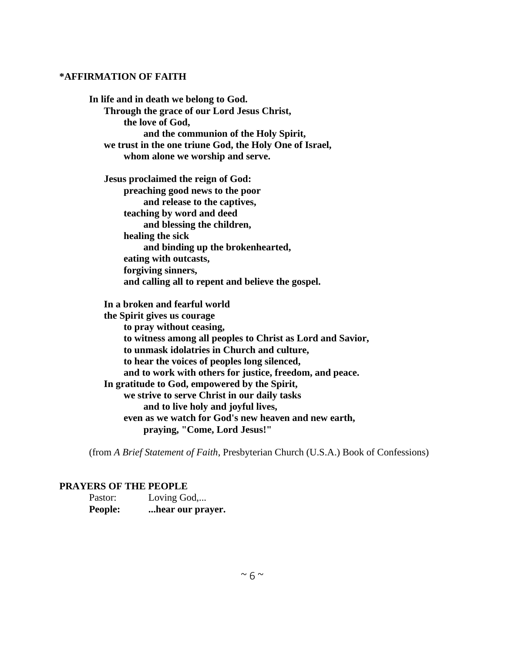#### **\*AFFIRMATION OF FAITH**

**In life and in death we belong to God. Through the grace of our Lord Jesus Christ, the love of God, and the communion of the Holy Spirit, we trust in the one triune God, the Holy One of Israel, whom alone we worship and serve. Jesus proclaimed the reign of God: preaching good news to the poor and release to the captives, teaching by word and deed and blessing the children, healing the sick and binding up the brokenhearted, eating with outcasts, forgiving sinners, and calling all to repent and believe the gospel. In a broken and fearful world the Spirit gives us courage to pray without ceasing, to witness among all peoples to Christ as Lord and Savior, to unmask idolatries in Church and culture, to hear the voices of peoples long silenced, and to work with others for justice, freedom, and peace. In gratitude to God, empowered by the Spirit, we strive to serve Christ in our daily tasks and to live holy and joyful lives,**

 **even as we watch for God's new heaven and new earth, praying, "Come, Lord Jesus!"**

(from *A Brief Statement of Faith*, Presbyterian Church (U.S.A.) Book of Confessions)

#### **PRAYERS OF THE PEOPLE**

| Pastor:        | Loving God,      |
|----------------|------------------|
| <b>People:</b> | hear our prayer. |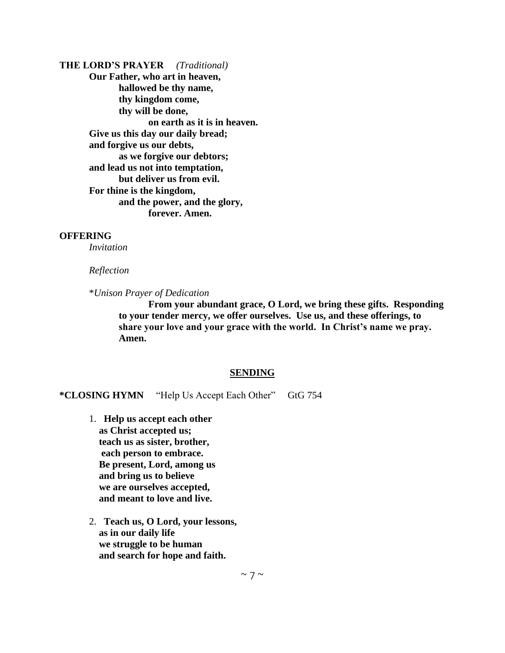**THE LORD'S PRAYER** *(Traditional)* **Our Father, who art in heaven, hallowed be thy name, thy kingdom come, thy will be done, on earth as it is in heaven. Give us this day our daily bread; and forgive us our debts, as we forgive our debtors; and lead us not into temptation, but deliver us from evil. For thine is the kingdom, and the power, and the glory, forever. Amen.**

#### **OFFERING**

*Invitation*

#### *Reflection*

\**Unison Prayer of Dedication*

**From your abundant grace, O Lord, we bring these gifts. Responding to your tender mercy, we offer ourselves. Use us, and these offerings, to share your love and your grace with the world. In Christ's name we pray. Amen.**

#### **SENDING**

**\*CLOSING HYMN** "Help Us Accept Each Other" GtG 754

- 1. **Help us accept each other as Christ accepted us; teach us as sister, brother, each person to embrace. Be present, Lord, among us and bring us to believe we are ourselves accepted, and meant to love and live.**
- 2. **Teach us, O Lord, your lessons, as in our daily life we struggle to be human and search for hope and faith.**